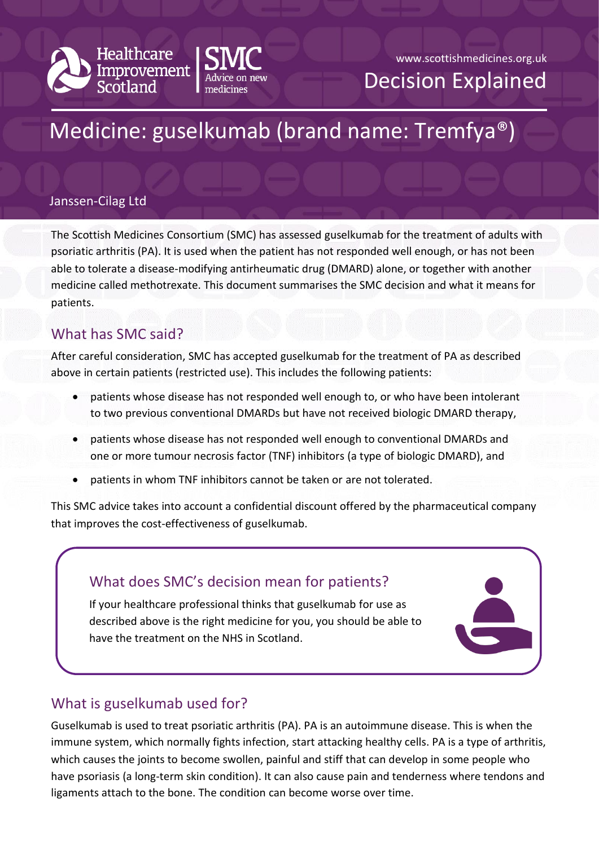



## Medicine: guselkumab (brand name: Tremfya®)

#### Janssen-Cilag Ltd

The Scottish Medicines Consortium (SMC) has assessed guselkumab for the treatment of adults with psoriatic arthritis (PA). It is used when the patient has not responded well enough, or has not been able to tolerate a disease-modifying antirheumatic drug (DMARD) alone, or together with another medicine called methotrexate. This document summarises the SMC decision and what it means for patients.

#### What has SMC said?

After careful consideration, SMC has accepted guselkumab for the treatment of PA as described above in certain patients (restricted use). This includes the following patients:

- patients whose disease has not responded well enough to, or who have been intolerant to two previous conventional DMARDs but have not received biologic DMARD therapy,
- patients whose disease has not responded well enough to conventional DMARDs and one or more tumour necrosis factor (TNF) inhibitors (a type of biologic DMARD), and
- patients in whom TNF inhibitors cannot be taken or are not tolerated.

This SMC advice takes into account a confidential discount offered by the pharmaceutical company that improves the cost-effectiveness of guselkumab.

# What does SMC's decision mean for patients? If your healthcare professional thinks that guselkumab for use as described above is the right medicine for you, you should be able to have the treatment on the NHS in Scotland.

## What is guselkumab used for?

Guselkumab is used to treat psoriatic arthritis (PA). PA is an autoimmune disease. This is when the immune system, which normally fights infection, start attacking healthy cells. PA is a type of arthritis, which causes the joints to become swollen, painful and stiff that can develop in some people who have psoriasis (a long-term skin condition). It can also cause pain and tenderness where tendons and ligaments attach to the bone. The condition can become worse over time.